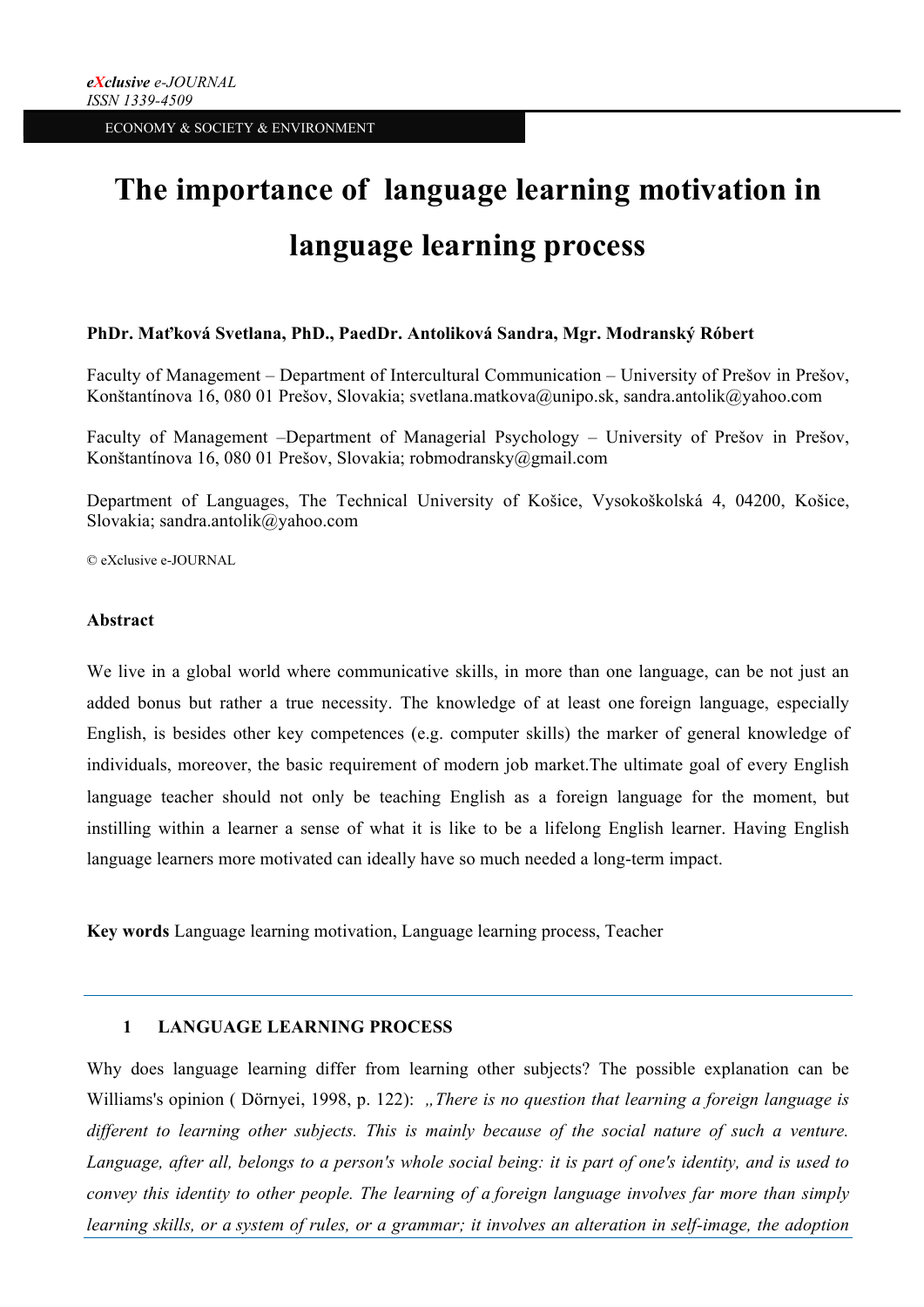# **The importance of language learning motivation in language learning process**

### **PhDr. Maťková Svetlana, PhD., PaedDr. Antoliková Sandra, Mgr. Modranský Róbert**

Faculty of Management – Department of Intercultural Communication – University of Prešov in Prešov, Konštantínova 16, 080 01 Prešov, Slovakia; svetlana.matkova@unipo.sk, sandra.antolik@yahoo.com

Faculty of Management –Department of Managerial Psychology – University of Prešov in Prešov, Konštantínova 16, 080 01 Prešov, Slovakia; robmodransky@gmail.com

Department of Languages, The Technical University of Košice, Vysokoškolská 4, 04200, Košice, Slovakia; sandra.antolik@yahoo.com

© eXclusive e-JOURNAL

#### **Abstract**

We live in a global world where communicative skills, in more than one language, can be not just an added bonus but rather a true necessity. The knowledge of at least one foreign language, especially English, is besides other key competences (e.g. computer skills) the marker of general knowledge of individuals, moreover, the basic requirement of modern job market.The ultimate goal of every English language teacher should not only be teaching English as a foreign language for the moment, but instilling within a learner a sense of what it is like to be a lifelong English learner. Having English language learners more motivated can ideally have so much needed a long-term impact.

**Key words** Language learning motivation, Language learning process, Teacher

### **1 LANGUAGE LEARNING PROCESS**

Why does language learning differ from learning other subjects? The possible explanation can be Williams's opinion ( Dörnyei, 1998, p. 122): "There is no question that learning a foreign language is *different to learning other subjects. This is mainly because of the social nature of such a venture. Language, after all, belongs to a person's whole social being: it is part of one's identity, and is used to convey this identity to other people. The learning of a foreign language involves far more than simply learning skills, or a system of rules, or a grammar; it involves an alteration in self-image, the adoption*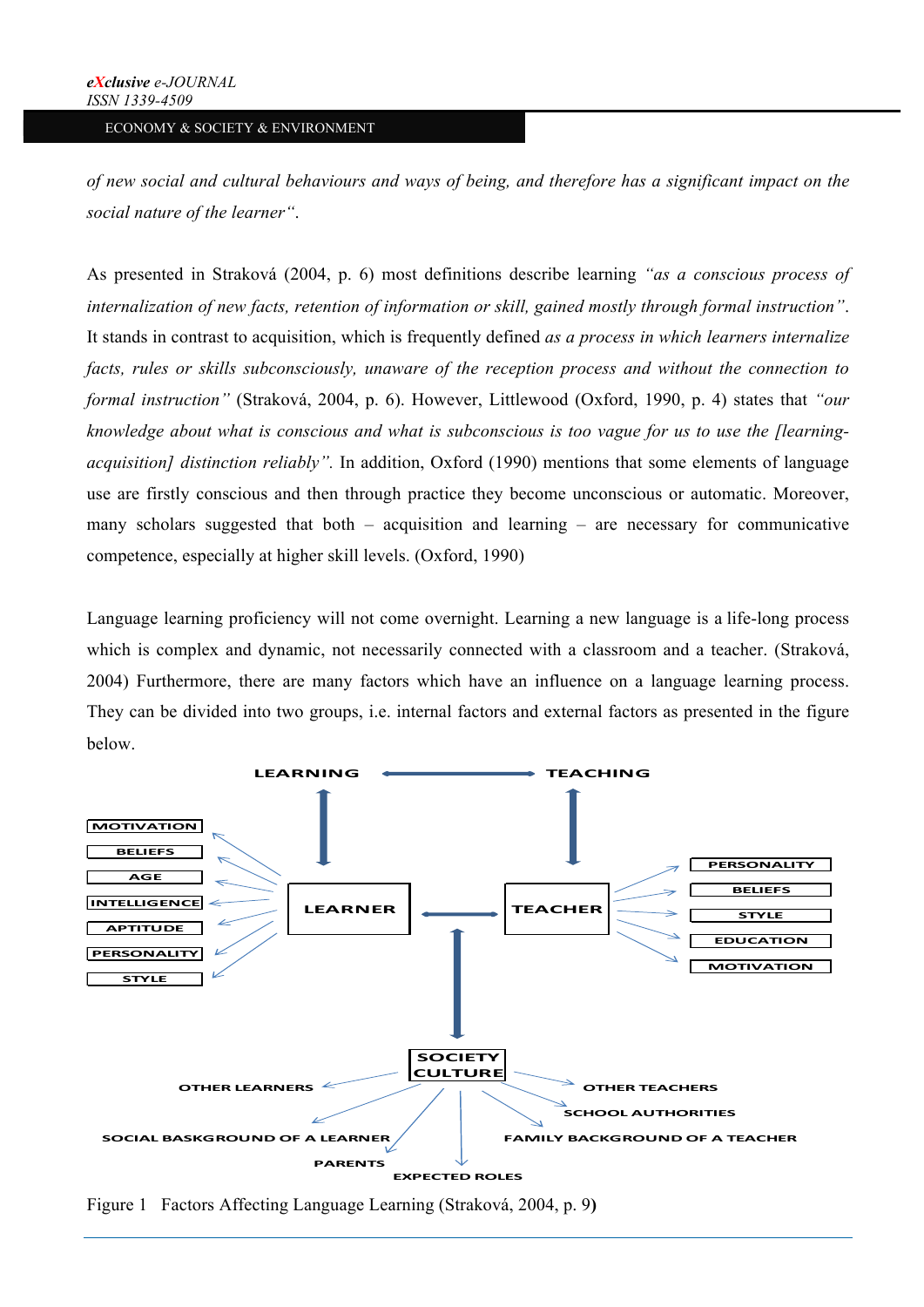*of new social and cultural behaviours and ways of being, and therefore has a significant impact on the social nature of the learner"*.

As presented in Straková (2004, p. 6) most definitions describe learning *"as a conscious process of internalization of new facts, retention of information or skill, gained mostly through formal instruction"*. It stands in contrast to acquisition, which is frequently defined *as a process in which learners internalize facts, rules or skills subconsciously, unaware of the reception process and without the connection to formal instruction"* (Straková, 2004, p. 6). However, Littlewood (Oxford, 1990, p. 4) states that *"our knowledge about what is conscious and what is subconscious is too vague for us to use the [learningacquisition] distinction reliably".* In addition, Oxford (1990) mentions that some elements of language use are firstly conscious and then through practice they become unconscious or automatic. Moreover, many scholars suggested that both  $-$  acquisition and learning  $-$  are necessary for communicative competence, especially at higher skill levels. (Oxford, 1990)

Language learning proficiency will not come overnight. Learning a new language is a life-long process which is complex and dynamic, not necessarily connected with a classroom and a teacher. (Straková, 2004) Furthermore, there are many factors which have an influence on a language learning process. They can be divided into two groups, i.e. internal factors and external factors as presented in the figure below.



Figure 1 Factors Affecting Language Learning (Straková, 2004, p. 9**)**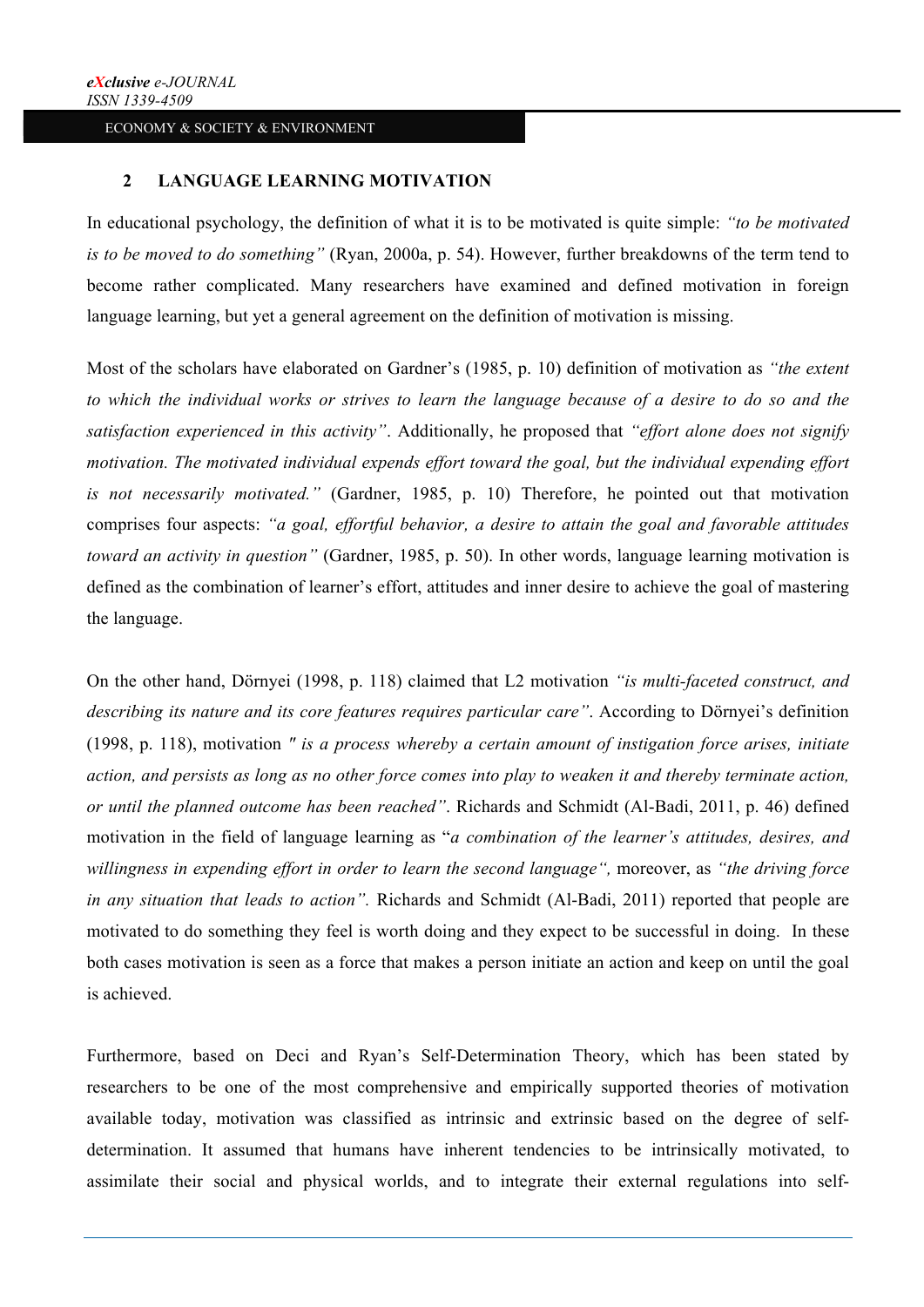## **2 LANGUAGE LEARNING MOTIVATION**

In educational psychology, the definition of what it is to be motivated is quite simple: *"to be motivated is to be moved to do something"* (Ryan, 2000a, p. 54). However, further breakdowns of the term tend to become rather complicated. Many researchers have examined and defined motivation in foreign language learning, but yet a general agreement on the definition of motivation is missing.

Most of the scholars have elaborated on Gardner's (1985, p. 10) definition of motivation as *"the extent to which the individual works or strives to learn the language because of a desire to do so and the satisfaction experienced in this activity"*. Additionally, he proposed that *"effort alone does not signify motivation. The motivated individual expends effort toward the goal, but the individual expending effort is not necessarily motivated."* (Gardner, 1985, p. 10) Therefore, he pointed out that motivation comprises four aspects: *"a goal, effortful behavior, a desire to attain the goal and favorable attitudes toward an activity in question"* (Gardner, 1985, p. 50). In other words, language learning motivation is defined as the combination of learner's effort, attitudes and inner desire to achieve the goal of mastering the language.

On the other hand, Dörnyei (1998, p. 118) claimed that L2 motivation *"is multi-faceted construct, and describing its nature and its core features requires particular care"*. According to Dörnyei's definition (1998, p. 118), motivation *" is a process whereby a certain amount of instigation force arises, initiate action, and persists as long as no other force comes into play to weaken it and thereby terminate action, or until the planned outcome has been reached"*. Richards and Schmidt (Al-Badi, 2011, p. 46) defined motivation in the field of language learning as "*a combination of the learner's attitudes, desires, and willingness in expending effort in order to learn the second language",* moreover, as *"the driving force in any situation that leads to action".* Richards and Schmidt (Al-Badi, 2011) reported that people are motivated to do something they feel is worth doing and they expect to be successful in doing. In these both cases motivation is seen as a force that makes a person initiate an action and keep on until the goal is achieved.

Furthermore, based on Deci and Ryan's Self-Determination Theory, which has been stated by researchers to be one of the most comprehensive and empirically supported theories of motivation available today, motivation was classified as intrinsic and extrinsic based on the degree of selfdetermination. It assumed that humans have inherent tendencies to be intrinsically motivated, to assimilate their social and physical worlds, and to integrate their external regulations into self-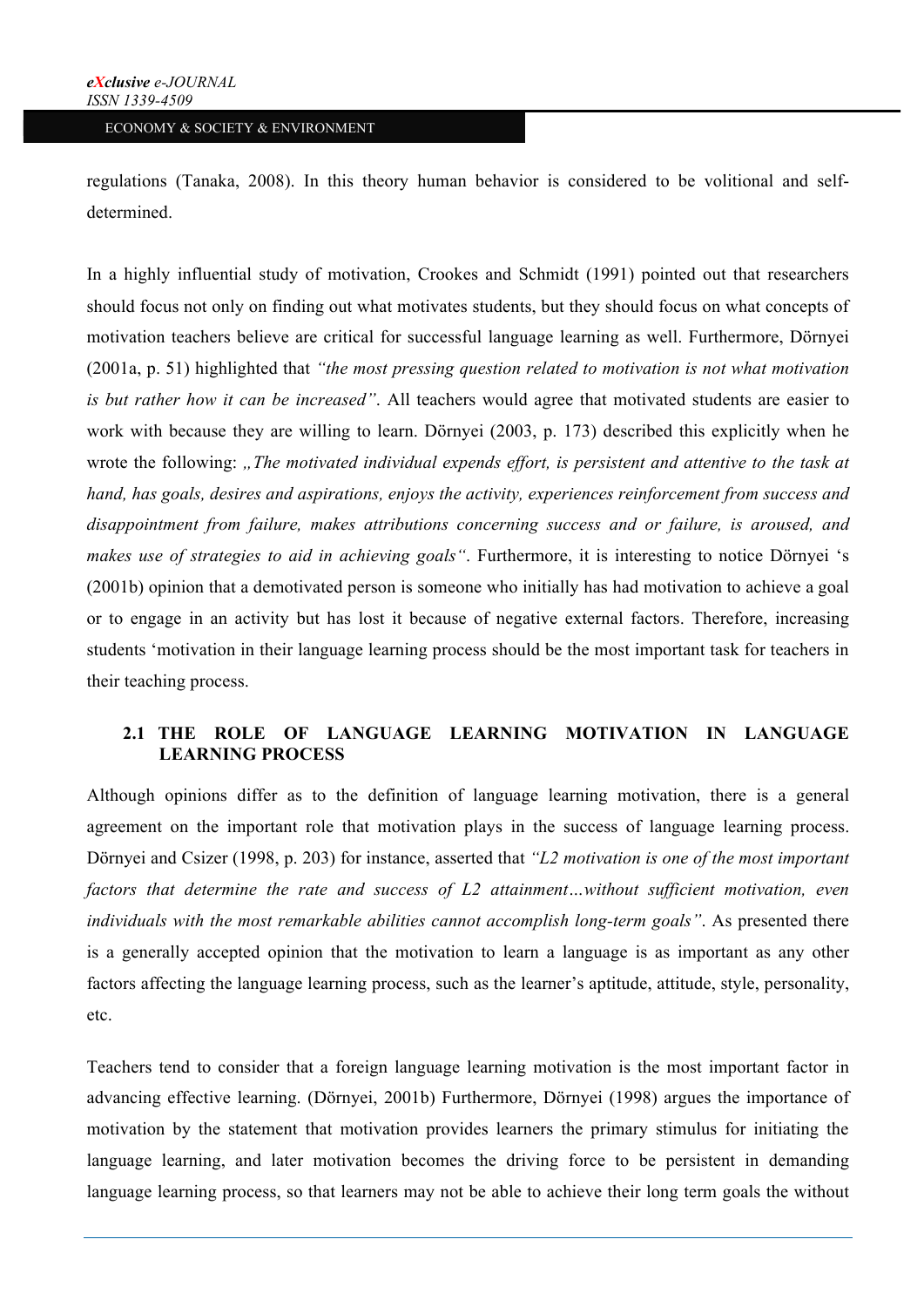regulations (Tanaka, 2008). In this theory human behavior is considered to be volitional and selfdetermined.

In a highly influential study of motivation, Crookes and Schmidt (1991) pointed out that researchers should focus not only on finding out what motivates students, but they should focus on what concepts of motivation teachers believe are critical for successful language learning as well. Furthermore, Dörnyei (2001a, p. 51) highlighted that *"the most pressing question related to motivation is not what motivation is but rather how it can be increased"*. All teachers would agree that motivated students are easier to work with because they are willing to learn. Dörnyei (2003, p. 173) described this explicitly when he wrote the following: "The motivated individual expends effort, is persistent and attentive to the task at *hand, has goals, desires and aspirations, enjoys the activity, experiences reinforcement from success and disappointment from failure, makes attributions concerning success and or failure, is aroused, and makes use of strategies to aid in achieving goals"*. Furthermore, it is interesting to notice Dörnyei 's (2001b) opinion that a demotivated person is someone who initially has had motivation to achieve a goal or to engage in an activity but has lost it because of negative external factors. Therefore, increasing students 'motivation in their language learning process should be the most important task for teachers in their teaching process.

### **2.1 THE ROLE OF LANGUAGE LEARNING MOTIVATION IN LANGUAGE LEARNING PROCESS**

Although opinions differ as to the definition of language learning motivation, there is a general agreement on the important role that motivation plays in the success of language learning process. Dörnyei and Csizer (1998, p. 203) for instance, asserted that *"L2 motivation is one of the most important*  factors that determine the rate and success of L2 attainment...without sufficient motivation, even *individuals with the most remarkable abilities cannot accomplish long-term goals"*. As presented there is a generally accepted opinion that the motivation to learn a language is as important as any other factors affecting the language learning process, such as the learner's aptitude, attitude, style, personality, etc.

Teachers tend to consider that a foreign language learning motivation is the most important factor in advancing effective learning. (Dörnyei, 2001b) Furthermore, Dörnyei (1998) argues the importance of motivation by the statement that motivation provides learners the primary stimulus for initiating the language learning, and later motivation becomes the driving force to be persistent in demanding language learning process, so that learners may not be able to achieve their long term goals the without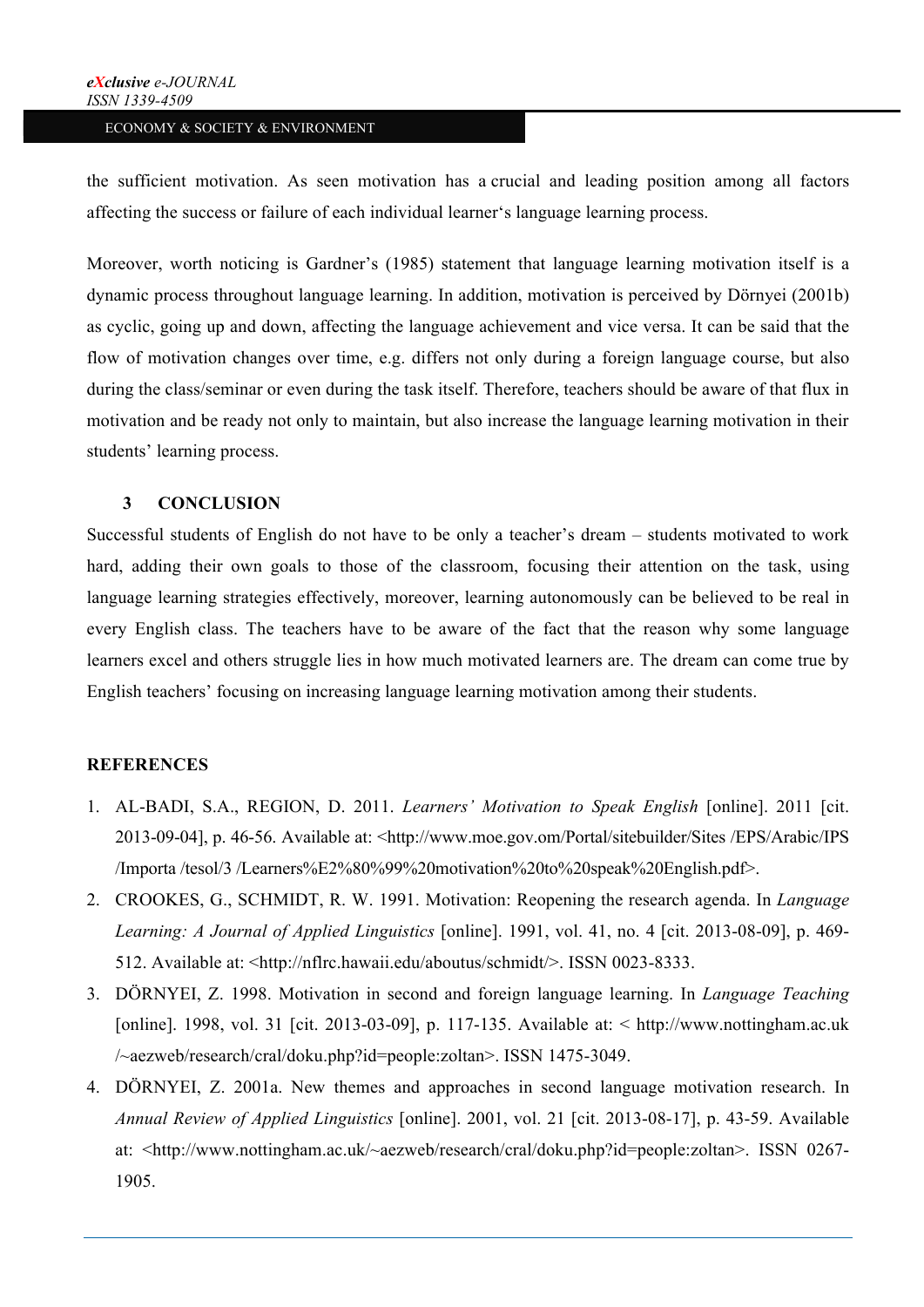the sufficient motivation. As seen motivation has a crucial and leading position among all factors affecting the success or failure of each individual learner's language learning process.

Moreover, worth noticing is Gardner's (1985) statement that language learning motivation itself is a dynamic process throughout language learning. In addition, motivation is perceived by Dörnyei (2001b) as cyclic, going up and down, affecting the language achievement and vice versa. It can be said that the flow of motivation changes over time, e.g. differs not only during a foreign language course, but also during the class/seminar or even during the task itself. Therefore, teachers should be aware of that flux in motivation and be ready not only to maintain, but also increase the language learning motivation in their students' learning process.

#### **3 CONCLUSION**

Successful students of English do not have to be only a teacher's dream – students motivated to work hard, adding their own goals to those of the classroom, focusing their attention on the task, using language learning strategies effectively, moreover, learning autonomously can be believed to be real in every English class. The teachers have to be aware of the fact that the reason why some language learners excel and others struggle lies in how much motivated learners are. The dream can come true by English teachers' focusing on increasing language learning motivation among their students.

## **REFERENCES**

- 1. AL-BADI, S.A., REGION, D. 2011. *Learners' Motivation to Speak English* [online]. 2011 [cit. 2013-09-04], p. 46-56. Available at: <http://www.moe.gov.om/Portal/sitebuilder/Sites /EPS/Arabic/IPS /Importa /tesol/3 /Learners%E2%80%99%20motivation%20to%20speak%20English.pdf>.
- 2. CROOKES, G., SCHMIDT, R. W. 1991. Motivation: Reopening the research agenda. In *Language Learning: A Journal of Applied Linguistics* [online]. 1991, vol. 41, no. 4 [cit. 2013-08-09], p. 469- 512. Available at: <http://nflrc.hawaii.edu/aboutus/schmidt/>. ISSN 0023-8333.
- 3. DÖRNYEI, Z. 1998. Motivation in second and foreign language learning. In *Language Teaching*  [online]. 1998, vol. 31 [cit. 2013-03-09], p. 117-135. Available at: < http://www.nottingham.ac.uk /~aezweb/research/cral/doku.php?id=people:zoltan>. ISSN 1475-3049.
- 4. DÖRNYEI, Z. 2001a. New themes and approaches in second language motivation research. In *Annual Review of Applied Linguistics* [online]. 2001, vol. 21 [cit. 2013-08-17], p. 43-59. Available at: <http://www.nottingham.ac.uk/~aezweb/research/cral/doku.php?id=people:zoltan>. ISSN 0267- 1905.